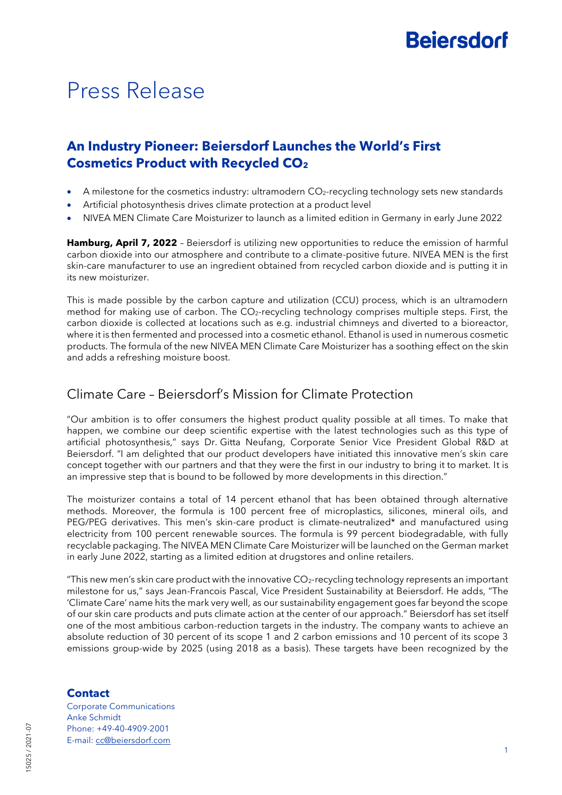# **Beiersdorf**

## Press Release

### **An Industry Pioneer: Beiersdorf Launches the World's First Cosmetics Product with Recycled CO<sup>2</sup>**

- A milestone for the cosmetics industry: ultramodern  $CO<sub>2</sub>$ -recycling technology sets new standards
- Artificial photosynthesis drives climate protection at a product level
- NIVEA MEN Climate Care Moisturizer to launch as a limited edition in Germany in early June 2022

**Hamburg, April 7, 2022** – Beiersdorf is utilizing new opportunities to reduce the emission of harmful carbon dioxide into our atmosphere and contribute to a climate-positive future. NIVEA MEN is the first skin-care manufacturer to use an ingredient obtained from recycled carbon dioxide and is putting it in its new moisturizer.

This is made possible by the carbon capture and utilization (CCU) process, which is an ultramodern method for making use of carbon. The CO2-recycling technology comprises multiple steps. First, the carbon dioxide is collected at locations such as e.g. industrial chimneys and diverted to a bioreactor, where it is then fermented and processed into a cosmetic ethanol. Ethanol is used in numerous cosmetic products. The formula of the new NIVEA MEN Climate Care Moisturizer has a soothing effect on the skin and adds a refreshing moisture boost.

### Climate Care – Beiersdorf's Mission for Climate Protection

"Our ambition is to offer consumers the highest product quality possible at all times. To make that happen, we combine our deep scientific expertise with the latest technologies such as this type of artificial photosynthesis," says Dr. Gitta Neufang, Corporate Senior Vice President Global R&D at Beiersdorf. "I am delighted that our product developers have initiated this innovative men's skin care concept together with our partners and that they were the first in our industry to bring it to market. It is an impressive step that is bound to be followed by more developments in this direction."

The moisturizer contains a total of 14 percent ethanol that has been obtained through alternative methods. Moreover, the formula is 100 percent free of microplastics, silicones, mineral oils, and PEG/PEG derivatives. This men's skin-care product is climate-neutralized\* and manufactured using electricity from 100 percent renewable sources. The formula is 99 percent biodegradable, with fully recyclable packaging. The NIVEA MEN Climate Care Moisturizer will be launched on the German market in early June 2022, starting as a limited edition at drugstores and online retailers.

"This new men's skin care product with the innovative  $CO<sub>2</sub>$ -recycling technology represents an important milestone for us," says Jean-Francois Pascal, Vice President Sustainability at Beiersdorf. He adds, "The 'Climate Care' name hits the mark very well, as our sustainability engagement goes far beyond the scope of our skin care products and puts climate action at the center of our approach." Beiersdorf has set itself one of the most ambitious carbon-reduction targets in the industry. The company wants to achieve an absolute reduction of 30 percent of its scope 1 and 2 carbon emissions and 10 percent of its scope 3 emissions group-wide by 2025 (using 2018 as a basis). These targets have been recognized by the

#### **Contact**

Corporate Communications Anke Schmidt Phone: +49-40-4909-2001 E-mail: [cc@beiersdorf.com](file:///C:/Users/MaurerNi/AppData/Local/Microsoft/Windows/INetCache/Content.Outlook/UENPSKE8/cc@beiersdorf.com)